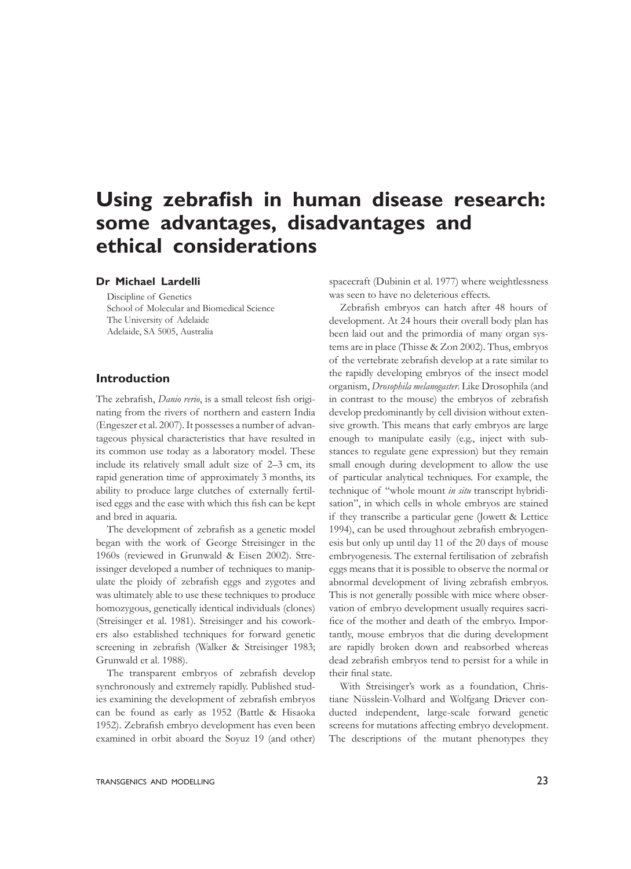# **Using zebrafish in human disease research: some advantages, disadvantages and ethical considerations**

## **Dr Michael Lardelli**

Discipline of Genetics School of Molecular and Biomedical Science The University of Adelaide Adelaide, SA 5005, Australia

#### **Introduction**

The zebrafish, *Danio rerio*, is a small teleost fish originating from the rivers of northern and eastern India (Engeszer et al. 2007). It possesses a number of advantageous physical characteristics that have resulted in its common use today as a laboratory model. These include its relatively small adult size of 2–3 cm, its rapid generation time of approximately 3 months, its ability to produce large clutches of externally fertilised eggs and the ease with which this fish can be kept and bred in aquaria.

 The development of zebrafish as a genetic model began with the work of George Streisinger in the 1960s (reviewed in Grunwald & Eisen 2002). Streissinger developed a number of techniques to manipulate the ploidy of zebrafish eggs and zygotes and was ultimately able to use these techniques to produce homozygous, genetically identical individuals (clones) (Streisinger et al. 1981). Streisinger and his coworkers also established techniques for forward genetic screening in zebrafish (Walker & Streisinger 1983; Grunwald et al. 1988).

 The transparent embryos of zebrafish develop synchronously and extremely rapidly. Published studies examining the development of zebrafish embryos can be found as early as 1952 (Battle & Hisaoka 1952). Zebrafish embryo development has even been examined in orbit aboard the Soyuz 19 (and other)

spacecraft (Dubinin et al. 1977) where weightlessness was seen to have no deleterious effects.

 Zebrafish embryos can hatch after 48 hours of development. At 24 hours their overall body plan has been laid out and the primordia of many organ systems are in place (Thisse & Zon 2002). Thus, embryos of the vertebrate zebrafish develop at a rate similar to the rapidly developing embryos of the insect model organism, *Drosophila melanogaster*. Like Drosophila (and in contrast to the mouse) the embryos of zebrafish develop predominantly by cell division without extensive growth. This means that early embryos are large enough to manipulate easily (e.g., inject with substances to regulate gene expression) but they remain small enough during development to allow the use of particular analytical techniques. For example, the technique of "whole mount *in situ* transcript hybridisation", in which cells in whole embryos are stained if they transcribe a particular gene (Jowett & Lettice 1994), can be used throughout zebrafish embryogenesis but only up until day 11 of the 20 days of mouse embryogenesis. The external fertilisation of zebrafish eggs means that it is possible to observe the normal or abnormal development of living zebrafish embryos. This is not generally possible with mice where observation of embryo development usually requires sacrifice of the mother and death of the embryo. Importantly, mouse embryos that die during development are rapidly broken down and reabsorbed whereas dead zebrafish embryos tend to persist for a while in their final state.

 With Streisinger's work as a foundation, Christiane Nüsslein-Volhard and Wolfgang Driever conducted independent, large-scale forward genetic screens for mutations affecting embryo development. The descriptions of the mutant phenotypes they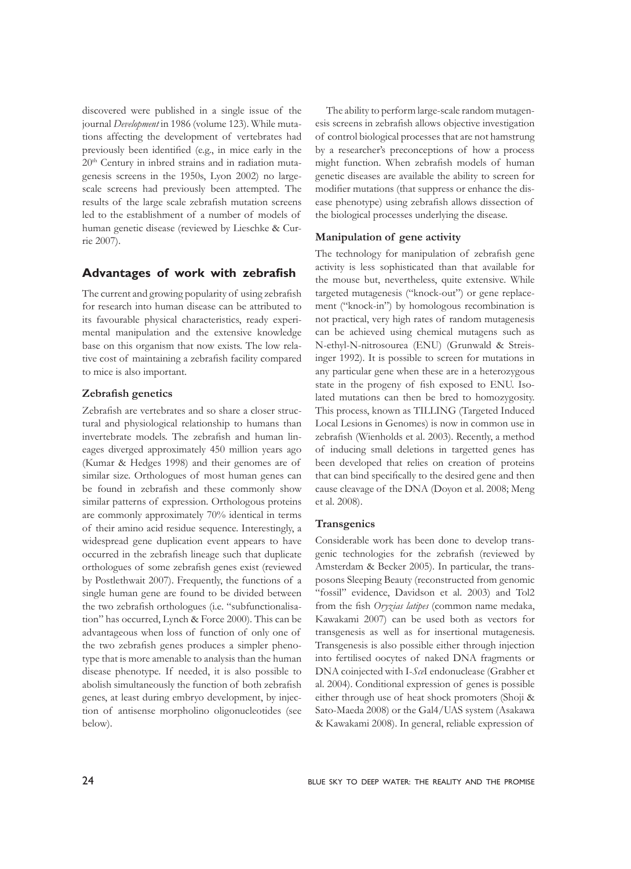discovered were published in a single issue of the journal *Development* in 1986 (volume 123). While mutations affecting the development of vertebrates had previously been identified (e.g., in mice early in the 20th Century in inbred strains and in radiation mutagenesis screens in the 1950s, Lyon 2002) no largescale screens had previously been attempted. The results of the large scale zebrafish mutation screens led to the establishment of a number of models of human genetic disease (reviewed by Lieschke & Currie 2007).

# **Advantages of work with zebrafish**

The current and growing popularity of using zebrafish for research into human disease can be attributed to its favourable physical characteristics, ready experimental manipulation and the extensive knowledge base on this organism that now exists. The low relative cost of maintaining a zebrafish facility compared to mice is also important.

#### **Zebrafish genetics**

Zebrafish are vertebrates and so share a closer structural and physiological relationship to humans than invertebrate models. The zebrafish and human lineages diverged approximately 450 million years ago (Kumar & Hedges 1998) and their genomes are of similar size. Orthologues of most human genes can be found in zebrafish and these commonly show similar patterns of expression. Orthologous proteins are commonly approximately 70% identical in terms of their amino acid residue sequence. Interestingly, a widespread gene duplication event appears to have occurred in the zebrafish lineage such that duplicate orthologues of some zebrafish genes exist (reviewed by Postlethwait 2007). Frequently, the functions of a single human gene are found to be divided between the two zebrafish orthologues (i.e. "subfunctionalisation" has occurred, Lynch & Force 2000). This can be advantageous when loss of function of only one of the two zebrafish genes produces a simpler phenotype that is more amenable to analysis than the human disease phenotype. If needed, it is also possible to abolish simultaneously the function of both zebrafish genes, at least during embryo development, by injection of antisense morpholino oligonucleotides (see below).

 The ability to perform large-scale random mutagenesis screens in zebrafish allows objective investigation of control biological processes that are not hamstrung by a researcher's preconceptions of how a process might function. When zebrafish models of human genetic diseases are available the ability to screen for modifier mutations (that suppress or enhance the disease phenotype) using zebrafish allows dissection of the biological processes underlying the disease.

#### **Manipulation of gene activity**

The technology for manipulation of zebrafish gene activity is less sophisticated than that available for the mouse but, nevertheless, quite extensive. While targeted mutagenesis ("knock-out") or gene replacement ("knock-in") by homologous recombination is not practical, very high rates of random mutagenesis can be achieved using chemical mutagens such as N-ethyl-N-nitrosourea (ENU) (Grunwald & Streisinger 1992). It is possible to screen for mutations in any particular gene when these are in a heterozygous state in the progeny of fish exposed to ENU. Isolated mutations can then be bred to homozygosity. This process, known as TILLING (Targeted Induced Local Lesions in Genomes) is now in common use in zebrafish (Wienholds et al. 2003). Recently, a method of inducing small deletions in targetted genes has been developed that relies on creation of proteins that can bind specifically to the desired gene and then cause cleavage of the DNA (Doyon et al. 2008; Meng et al. 2008).

#### **Transgenics**

Considerable work has been done to develop transgenic technologies for the zebrafish (reviewed by Amsterdam & Becker 2005). In particular, the transposons Sleeping Beauty (reconstructed from genomic "fossil" evidence, Davidson et al. 2003) and Tol2 from the fish *Oryzias latipes* (common name medaka, Kawakami 2007) can be used both as vectors for transgenesis as well as for insertional mutagenesis. Transgenesis is also possible either through injection into fertilised oocytes of naked DNA fragments or DNA coinjected with I-*Sce*I endonuclease (Grabher et al. 2004). Conditional expression of genes is possible either through use of heat shock promoters (Shoji & Sato-Maeda 2008) or the Gal4/UAS system (Asakawa & Kawakami 2008). In general, reliable expression of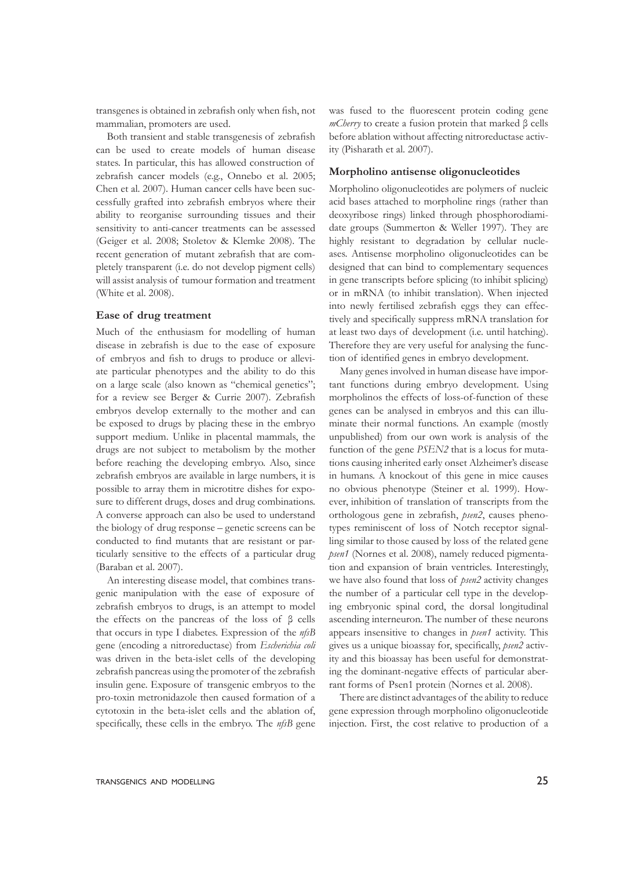transgenes is obtained in zebrafish only when fish, not mammalian, promoters are used.

 Both transient and stable transgenesis of zebrafish can be used to create models of human disease states. In particular, this has allowed construction of zebrafish cancer models (e.g., Onnebo et al. 2005; Chen et al. 2007). Human cancer cells have been successfully grafted into zebrafish embryos where their ability to reorganise surrounding tissues and their sensitivity to anti-cancer treatments can be assessed (Geiger et al. 2008; Stoletov & Klemke 2008). The recent generation of mutant zebrafish that are completely transparent (i.e. do not develop pigment cells) will assist analysis of tumour formation and treatment (White et al. 2008).

#### **Ease of drug treatment**

Much of the enthusiasm for modelling of human disease in zebrafish is due to the ease of exposure of embryos and fish to drugs to produce or alleviate particular phenotypes and the ability to do this on a large scale (also known as "chemical genetics"; for a review see Berger & Currie 2007). Zebrafish embryos develop externally to the mother and can be exposed to drugs by placing these in the embryo support medium. Unlike in placental mammals, the drugs are not subject to metabolism by the mother before reaching the developing embryo. Also, since zebrafish embryos are available in large numbers, it is possible to array them in microtitre dishes for exposure to different drugs, doses and drug combinations. A converse approach can also be used to understand the biology of drug response – genetic screens can be conducted to find mutants that are resistant or particularly sensitive to the effects of a particular drug (Baraban et al. 2007).

 An interesting disease model, that combines transgenic manipulation with the ease of exposure of zebrafish embryos to drugs, is an attempt to model the effects on the pancreas of the loss of β cells that occurs in type I diabetes. Expression of the *nfsB* gene (encoding a nitroreductase) from *Escherichia coli* was driven in the beta-islet cells of the developing zebrafish pancreas using the promoter of the zebrafish insulin gene. Exposure of transgenic embryos to the pro-toxin metronidazole then caused formation of a cytotoxin in the beta-islet cells and the ablation of, specifically, these cells in the embryo. The *nfsB* gene

was fused to the fluorescent protein coding gene *mCherry* to create a fusion protein that marked β cells before ablation without affecting nitroreductase activity (Pisharath et al. 2007).

#### **Morpholino antisense oligonucleotides**

Morpholino oligonucleotides are polymers of nucleic acid bases attached to morpholine rings (rather than deoxyribose rings) linked through phosphorodiamidate groups (Summerton & Weller 1997). They are highly resistant to degradation by cellular nucleases. Antisense morpholino oligonucleotides can be designed that can bind to complementary sequences in gene transcripts before splicing (to inhibit splicing) or in mRNA (to inhibit translation). When injected into newly fertilised zebrafish eggs they can effectively and specifically suppress mRNA translation for at least two days of development (i.e. until hatching). Therefore they are very useful for analysing the function of identified genes in embryo development.

 Many genes involved in human disease have important functions during embryo development. Using morpholinos the effects of loss-of-function of these genes can be analysed in embryos and this can illuminate their normal functions. An example (mostly unpublished) from our own work is analysis of the function of the gene *PSEN2* that is a locus for mutations causing inherited early onset Alzheimer's disease in humans. A knockout of this gene in mice causes no obvious phenotype (Steiner et al. 1999). However, inhibition of translation of transcripts from the orthologous gene in zebrafish, *psen2*, causes phenotypes reminiscent of loss of Notch receptor signalling similar to those caused by loss of the related gene *psen1* (Nornes et al. 2008), namely reduced pigmentation and expansion of brain ventricles. Interestingly, we have also found that loss of *psen2* activity changes the number of a particular cell type in the developing embryonic spinal cord, the dorsal longitudinal ascending interneuron. The number of these neurons appears insensitive to changes in *psen1* activity. This gives us a unique bioassay for, specifically, *psen2* activity and this bioassay has been useful for demonstrating the dominant-negative effects of particular aberrant forms of Psen1 protein (Nornes et al. 2008).

 There are distinct advantages of the ability to reduce gene expression through morpholino oligonucleotide injection. First, the cost relative to production of a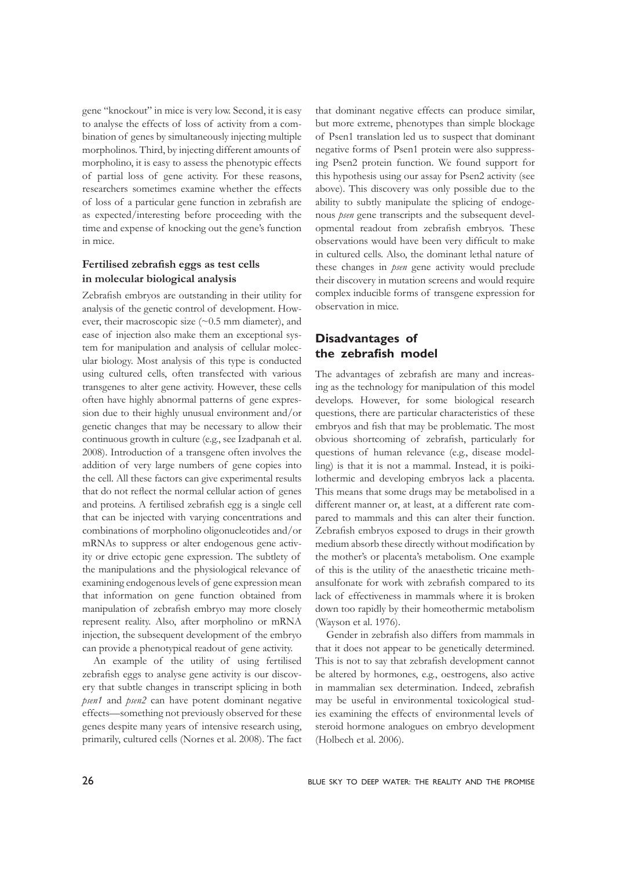gene "knockout" in mice is very low. Second, it is easy to analyse the effects of loss of activity from a combination of genes by simultaneously injecting multiple morpholinos. Third, by injecting different amounts of morpholino, it is easy to assess the phenotypic effects of partial loss of gene activity. For these reasons, researchers sometimes examine whether the effects of loss of a particular gene function in zebrafish are as expected/interesting before proceeding with the time and expense of knocking out the gene's function in mice.

### **Fertilised zebrafish eggs as test cells in molecular biological analysis**

Zebrafish embryos are outstanding in their utility for analysis of the genetic control of development. However, their macroscopic size (~0.5 mm diameter), and ease of injection also make them an exceptional system for manipulation and analysis of cellular molecular biology. Most analysis of this type is conducted using cultured cells, often transfected with various transgenes to alter gene activity. However, these cells often have highly abnormal patterns of gene expression due to their highly unusual environment and/or genetic changes that may be necessary to allow their continuous growth in culture (e.g., see Izadpanah et al. 2008). Introduction of a transgene often involves the addition of very large numbers of gene copies into the cell. All these factors can give experimental results that do not reflect the normal cellular action of genes and proteins. A fertilised zebrafish egg is a single cell that can be injected with varying concentrations and combinations of morpholino oligonucleotides and/or mRNAs to suppress or alter endogenous gene activity or drive ectopic gene expression. The subtlety of the manipulations and the physiological relevance of examining endogenous levels of gene expression mean that information on gene function obtained from manipulation of zebrafish embryo may more closely represent reality. Also, after morpholino or mRNA injection, the subsequent development of the embryo can provide a phenotypical readout of gene activity.

 An example of the utility of using fertilised zebrafish eggs to analyse gene activity is our discovery that subtle changes in transcript splicing in both *psen1* and *psen2* can have potent dominant negative effects—something not previously observed for these genes despite many years of intensive research using, primarily, cultured cells (Nornes et al. 2008). The fact that dominant negative effects can produce similar, but more extreme, phenotypes than simple blockage of Psen1 translation led us to suspect that dominant negative forms of Psen1 protein were also suppressing Psen2 protein function. We found support for this hypothesis using our assay for Psen2 activity (see above). This discovery was only possible due to the ability to subtly manipulate the splicing of endogenous *psen* gene transcripts and the subsequent developmental readout from zebrafish embryos. These observations would have been very difficult to make in cultured cells. Also, the dominant lethal nature of these changes in *psen* gene activity would preclude their discovery in mutation screens and would require complex inducible forms of transgene expression for observation in mice.

# **Disadvantages of the zebrafish model**

The advantages of zebrafish are many and increasing as the technology for manipulation of this model develops. However, for some biological research questions, there are particular characteristics of these embryos and fish that may be problematic. The most obvious shortcoming of zebrafish, particularly for questions of human relevance (e.g., disease modelling) is that it is not a mammal. Instead, it is poikilothermic and developing embryos lack a placenta. This means that some drugs may be metabolised in a different manner or, at least, at a different rate compared to mammals and this can alter their function. Zebrafish embryos exposed to drugs in their growth medium absorb these directly without modification by the mother's or placenta's metabolism. One example of this is the utility of the anaesthetic tricaine methansulfonate for work with zebrafish compared to its lack of effectiveness in mammals where it is broken down too rapidly by their homeothermic metabolism (Wayson et al. 1976).

 Gender in zebrafish also differs from mammals in that it does not appear to be genetically determined. This is not to say that zebrafish development cannot be altered by hormones, e.g., oestrogens, also active in mammalian sex determination. Indeed, zebrafish may be useful in environmental toxicological studies examining the effects of environmental levels of steroid hormone analogues on embryo development (Holbech et al. 2006).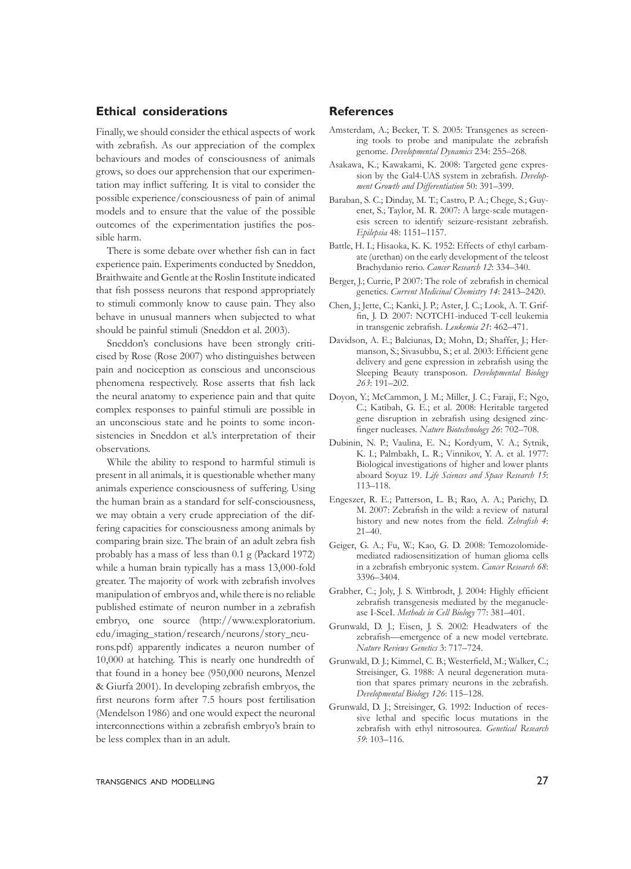# **Ethical considerations**

Finally, we should consider the ethical aspects of work with zebrafish. As our appreciation of the complex behaviours and modes of consciousness of animals grows, so does our apprehension that our experimentation may inflict suffering. It is vital to consider the possible experience/consciousness of pain of animal models and to ensure that the value of the possible outcomes of the experimentation justifies the possible harm.

 There is some debate over whether fish can in fact experience pain. Experiments conducted by Sneddon, Braithwaite and Gentle at the Roslin Institute indicated that fish possess neurons that respond appropriately to stimuli commonly know to cause pain. They also behave in unusual manners when subjected to what should be painful stimuli (Sneddon et al. 2003).

 Sneddon's conclusions have been strongly criticised by Rose (Rose 2007) who distinguishes between pain and nociception as conscious and unconscious phenomena respectively. Rose asserts that fish lack the neural anatomy to experience pain and that quite complex responses to painful stimuli are possible in an unconscious state and he points to some inconsistencies in Sneddon et al.'s interpretation of their observations.

 While the ability to respond to harmful stimuli is present in all animals, it is questionable whether many animals experience consciousness of suffering. Using the human brain as a standard for self-consciousness, we may obtain a very crude appreciation of the differing capacities for consciousness among animals by comparing brain size. The brain of an adult zebra fish probably has a mass of less than 0.1 g (Packard 1972) while a human brain typically has a mass 13,000-fold greater. The majority of work with zebrafish involves manipulation of embryos and,while there is no reliable published estimate of neuron number in a zebrafish embryo, one source (http://www.exploratorium. edu/imaging\_station/research/neurons/story\_neurons.pdf) apparently indicates a neuron number of 10,000 at hatching. This is nearly one hundredth of that found in a honey bee (950,000 neurons, Menzel & Giurfa 2001). In developing zebrafish embryos, the first neurons form after 7.5 hours post fertilisation (Mendelson 1986) and one would expect the neuronal interconnections within a zebrafish embryo's brain to be less complex than in an adult.

# **References**

- Amsterdam, A.; Becker, T. S. 2005: Transgenes as screening tools to probe and manipulate the zebrafish genome. *Developmental Dynamics* 234: 255–268.
- Asakawa, K.; Kawakami, K. 2008: Targeted gene expression by the Gal4-UAS system in zebrafish. *Development Growth and Differentiation* 50: 391–399.
- Baraban, S. C.; Dinday, M. T.; Castro, P. A.; Chege, S.; Guyenet, S.; Taylor, M. R. 2007: A large-scale mutagenesis screen to identify seizure-resistant zebrafish. *Epilepsia* 48: 1151–1157.
- Battle, H. I.; Hisaoka, K. K. 1952: Effects of ethyl carbamate (urethan) on the early development of the teleost Brachydanio rerio. *Cancer Research 12*: 334–340.
- Berger, J.; Currie, P 2007: The role of zebrafish in chemical genetics. *Current Medicinal Chemistry 14*: 2413–2420.
- Chen, J.; Jette, C.; Kanki, J. P.; Aster, J. C.; Look, A. T. Griffin, J. D. 2007: NOTCH1-induced T-cell leukemia in transgenic zebrafish. *Leukemia 21*: 462–471.
- Davidson, A. E.; Balciunas, D.; Mohn, D.; Shaffer, J.; Hermanson, S.; Sivasubbu, S.; et al. 2003: Efficient gene delivery and gene expression in zebrafish using the Sleeping Beauty transposon. *Developmental Biology 263*: 191–202.
- Doyon, Y.; McCammon, J. M.; Miller, J. C.; Faraji, F.; Ngo, C.; Katibah, G. E.; et al. 2008: Heritable targeted gene disruption in zebrafish using designed zincfinger nucleases. *Nature Biotechnology 26*: 702–708.
- Dubinin, N. P.; Vaulina, E. N.; Kordyum, V. A.; Sytnik, K. I.; Palmbakh, L. R.; Vinnikov, Y. A. et al. 1977: Biological investigations of higher and lower plants aboard Soyuz 19. *Life Sciences and Space Research 15*: 113–118.
- Engeszer, R. E.; Patterson, L. B.; Rao, A. A.; Parichy, D. M. 2007: Zebrafish in the wild: a review of natural history and new notes from the field. *Zebrafish 4*: 21–40.
- Geiger, G. A.; Fu, W.; Kao, G. D. 2008: Temozolomidemediated radiosensitization of human glioma cells in a zebrafish embryonic system. *Cancer Research 68*: 3396–3404.
- Grabher, C.; Joly, J. S. Wittbrodt, J. 2004: Highly efficient zebrafish transgenesis mediated by the meganuclease I-SceI. *Methods in Cell Biology* 77: 381–401.
- Grunwald, D. J.; Eisen, J. S. 2002: Headwaters of the zebrafish—emergence of a new model vertebrate. *Nature Reviews Genetics* 3: 717–724.
- Grunwald, D. J.; Kimmel, C. B.; Westerfield, M.; Walker, C.; Streisinger, G. 1988: A neural degeneration mutation that spares primary neurons in the zebrafish. *Developmental Biology 126*: 115–128.
- Grunwald, D. J.; Streisinger, G. 1992: Induction of recessive lethal and specific locus mutations in the zebrafish with ethyl nitrosourea. *Genetical Research 59*: 103–116.